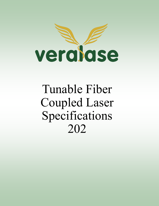

Tunable Fiber Coupled Laser Specifications 202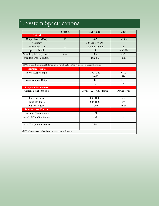## 1. System Specifications

|                                                                                                | <b>Symbol</b>        | <b>Typical (1)</b>         | <b>Units</b>  |  |
|------------------------------------------------------------------------------------------------|----------------------|----------------------------|---------------|--|
| <b>Optical</b>                                                                                 |                      |                            |               |  |
| Output Power (CW)                                                                              | $P_0$                | $0 - 2$                    | Watts         |  |
| Accuracy                                                                                       |                      | $0-5\% (0.1W-2W)$          |               |  |
| Wavelength (1)                                                                                 | $\lambda_c$          | 1260nm-1290nm              | nm            |  |
| Spectral Width                                                                                 | Δλ                   | 8                          | $nm$ $3dB$    |  |
| Wavelength Temp. Coeff.                                                                        | $\lambda_{\rm coef}$ | 0.5                        | nm/C          |  |
| <b>Standard Optical Output</b>                                                                 |                      | Dia. 6.2                   | mm            |  |
| (1) Other models are available for different wavelength, contact Veralase for more information |                      |                            |               |  |
| <b>Electrical / Data</b>                                                                       |                      |                            |               |  |
| Power Adapter Input                                                                            |                      | $100 - 240$                | <b>VAC</b>    |  |
|                                                                                                |                      | 50-60                      | Hz            |  |
| Power Adapter Output                                                                           |                      | 12                         | <b>VDC</b>    |  |
|                                                                                                |                      | 5                          | A             |  |
| <b>Program Parameters</b>                                                                      |                      |                            |               |  |
| Current Level - Up to 6                                                                        |                      | Level 1, 2, 3, 4,5, Manual | Power level   |  |
| Time on/Pulse                                                                                  |                      | 0 to 1000                  | ms            |  |
| Time off/ Pulse                                                                                |                      | 0 to 1000                  | ms            |  |
| Pulses/Trigger                                                                                 |                      | 1000                       | Pulse         |  |
| <b>Temperature Control</b>                                                                     |                      |                            |               |  |
| <b>Operating Temperature</b>                                                                   |                      | $0 - 40$                   | $\mathcal{C}$ |  |
| Laser Temperature protec-                                                                      |                      | $0 - 75$                   | $\mathcal{C}$ |  |
| Laser Temperature control                                                                      |                      | $15 - 60$                  | $\mathcal{C}$ |  |
| (2) Veralase recommends using the temperature at this range                                    |                      |                            |               |  |